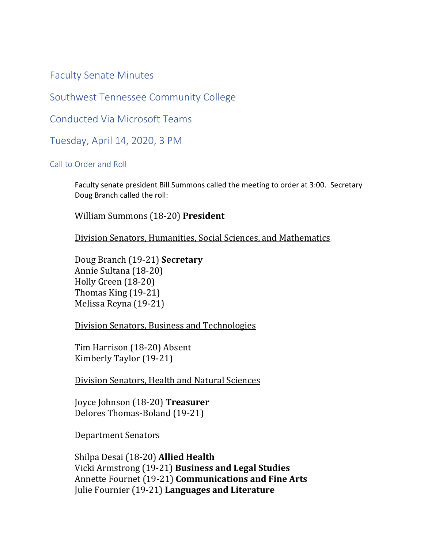Faculty Senate Minutes

Southwest Tennessee Community College

Conducted Via Microsoft Teams

Tuesday, April 14, 2020, 3 PM

Call to Order and Roll

Faculty senate president Bill Summons called the meeting to order at 3:00. Secretary Doug Branch called the roll:

William Summons (18-20) **President**

Division Senators, Humanities, Social Sciences, and Mathematics

Doug Branch (19-21) **Secretary** Annie Sultana (18-20) Holly Green (18-20) Thomas King (19-21) Melissa Reyna (19-21)

Division Senators, Business and Technologies

Tim Harrison (18-20) Absent Kimberly Taylor (19-21)

Division Senators, Health and Natural Sciences

Joyce Johnson (18-20) **Treasurer** Delores Thomas-Boland (19-21)

Department Senators

Shilpa Desai (18-20) **Allied Health** Vicki Armstrong (19-21) **Business and Legal Studies**  Annette Fournet (19-21) **Communications and Fine Arts** Julie Fournier (19-21) **Languages and Literature**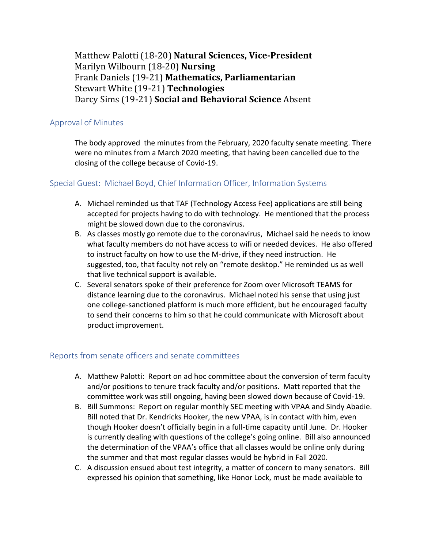Matthew Palotti (18-20) **Natural Sciences, Vice-President** Marilyn Wilbourn (18-20) **Nursing** Frank Daniels (19-21) **Mathematics, Parliamentarian** Stewart White (19-21) **Technologies** Darcy Sims (19-21) **Social and Behavioral Science** Absent

# Approval of Minutes

The body approved the minutes from the February, 2020 faculty senate meeting. There were no minutes from a March 2020 meeting, that having been cancelled due to the closing of the college because of Covid-19.

## Special Guest: Michael Boyd, Chief Information Officer, Information Systems

- A. Michael reminded us that TAF (Technology Access Fee) applications are still being accepted for projects having to do with technology. He mentioned that the process might be slowed down due to the coronavirus.
- B. As classes mostly go remote due to the coronavirus, Michael said he needs to know what faculty members do not have access to wifi or needed devices. He also offered to instruct faculty on how to use the M-drive, if they need instruction. He suggested, too, that faculty not rely on "remote desktop." He reminded us as well that live technical support is available.
- C. Several senators spoke of their preference for Zoom over Microsoft TEAMS for distance learning due to the coronavirus. Michael noted his sense that using just one college-sanctioned platform is much more efficient, but he encouraged faculty to send their concerns to him so that he could communicate with Microsoft about product improvement.

## Reports from senate officers and senate committees

- A. Matthew Palotti: Report on ad hoc committee about the conversion of term faculty and/or positions to tenure track faculty and/or positions. Matt reported that the committee work was still ongoing, having been slowed down because of Covid-19.
- B. Bill Summons: Report on regular monthly SEC meeting with VPAA and Sindy Abadie. Bill noted that Dr. Kendricks Hooker, the new VPAA, is in contact with him, even though Hooker doesn't officially begin in a full-time capacity until June. Dr. Hooker is currently dealing with questions of the college's going online. Bill also announced the determination of the VPAA's office that all classes would be online only during the summer and that most regular classes would be hybrid in Fall 2020.
- C. A discussion ensued about test integrity, a matter of concern to many senators. Bill expressed his opinion that something, like Honor Lock, must be made available to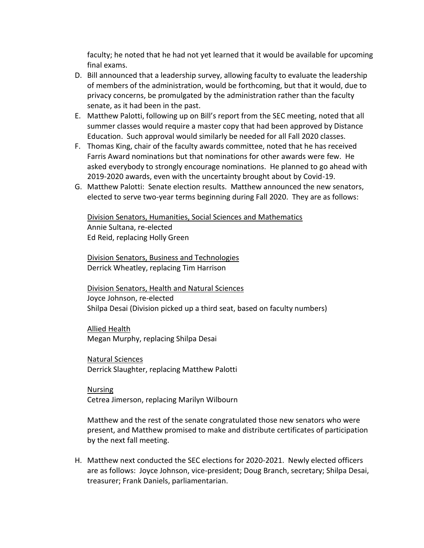faculty; he noted that he had not yet learned that it would be available for upcoming final exams.

- D. Bill announced that a leadership survey, allowing faculty to evaluate the leadership of members of the administration, would be forthcoming, but that it would, due to privacy concerns, be promulgated by the administration rather than the faculty senate, as it had been in the past.
- E. Matthew Palotti, following up on Bill's report from the SEC meeting, noted that all summer classes would require a master copy that had been approved by Distance Education. Such approval would similarly be needed for all Fall 2020 classes.
- F. Thomas King, chair of the faculty awards committee, noted that he has received Farris Award nominations but that nominations for other awards were few. He asked everybody to strongly encourage nominations. He planned to go ahead with 2019-2020 awards, even with the uncertainty brought about by Covid-19.
- G. Matthew Palotti: Senate election results. Matthew announced the new senators, elected to serve two-year terms beginning during Fall 2020. They are as follows:

Division Senators, Humanities, Social Sciences and Mathematics Annie Sultana, re-elected Ed Reid, replacing Holly Green

Division Senators, Business and Technologies Derrick Wheatley, replacing Tim Harrison

Division Senators, Health and Natural Sciences Joyce Johnson, re-elected Shilpa Desai (Division picked up a third seat, based on faculty numbers)

Allied Health Megan Murphy, replacing Shilpa Desai

Natural Sciences Derrick Slaughter, replacing Matthew Palotti

Nursing Cetrea Jimerson, replacing Marilyn Wilbourn

Matthew and the rest of the senate congratulated those new senators who were present, and Matthew promised to make and distribute certificates of participation by the next fall meeting.

H. Matthew next conducted the SEC elections for 2020-2021. Newly elected officers are as follows: Joyce Johnson, vice-president; Doug Branch, secretary; Shilpa Desai, treasurer; Frank Daniels, parliamentarian.